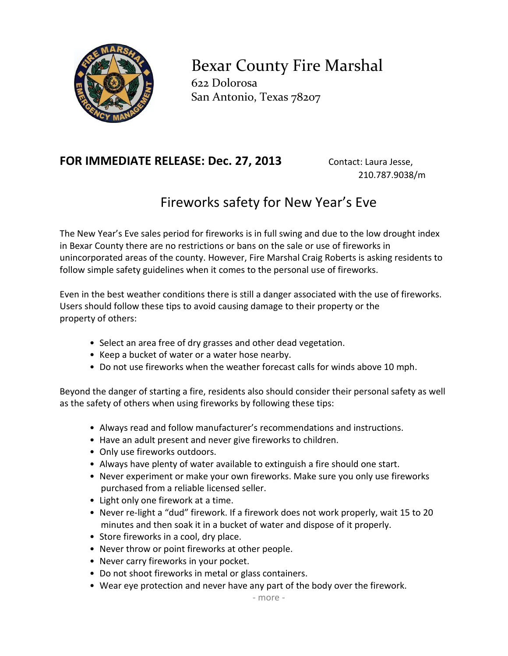

Bexar County Fire Marshal 622 Dolorosa San Antonio, Texas 78207

## FOR IMMEDIATE RELEASE: Dec. 27, 2013 Contact: Laura Jesse,

210.787.9038/m

## Fireworks safety for New Year's Eve

The New Year's Eve sales period for fireworks is in full swing and due to the low drought index in Bexar County there are no restrictions or bans on the sale or use of fireworks in unincorporated areas of the county. However, Fire Marshal Craig Roberts is asking residents to follow simple safety guidelines when it comes to the personal use of fireworks.

Even in the best weather conditions there is still a danger associated with the use of fireworks. Users should follow these tips to avoid causing damage to their property or the property of others:

- Select an area free of dry grasses and other dead vegetation.
- Keep a bucket of water or a water hose nearby.
- Do not use fireworks when the weather forecast calls for winds above 10 mph.

Beyond the danger of starting a fire, residents also should consider their personal safety as well as the safety of others when using fireworks by following these tips:

- Always read and follow manufacturer's recommendations and instructions.
- Have an adult present and never give fireworks to children.
- Only use fireworks outdoors.
- Always have plenty of water available to extinguish a fire should one start.
- Never experiment or make your own fireworks. Make sure you only use fireworks purchased from a reliable licensed seller.
- Light only one firework at a time.
- Never re-light a "dud" firework. If a firework does not work properly, wait 15 to 20 minutes and then soak it in a bucket of water and dispose of it properly.
- Store fireworks in a cool, dry place.
- Never throw or point fireworks at other people.
- Never carry fireworks in your pocket.
- Do not shoot fireworks in metal or glass containers.
- Wear eye protection and never have any part of the body over the firework.